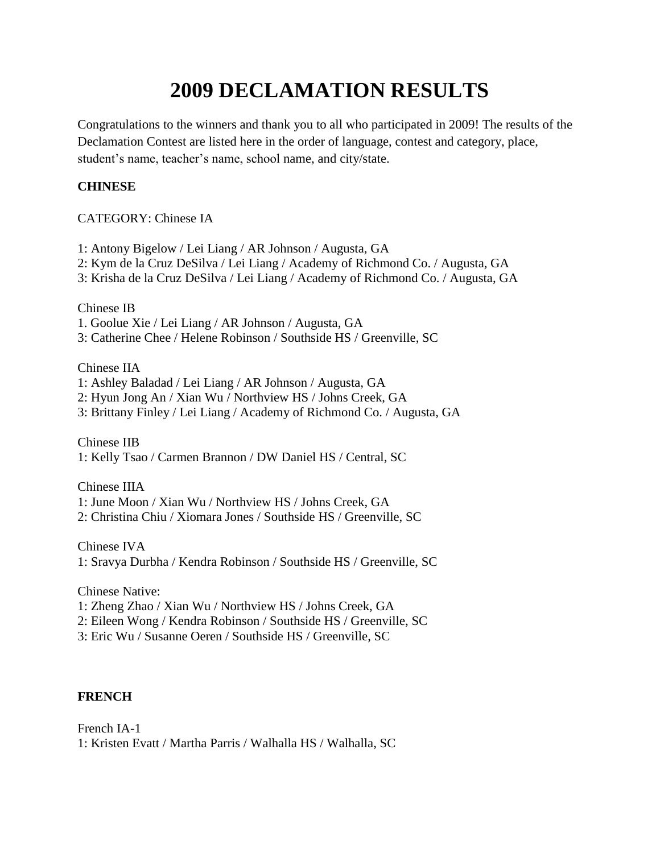# **2009 DECLAMATION RESULTS**

Congratulations to the winners and thank you to all who participated in 2009! The results of the Declamation Contest are listed here in the order of language, contest and category, place, student's name, teacher's name, school name, and city/state.

# **CHINESE**

## CATEGORY: Chinese IA

- 1: Antony Bigelow / Lei Liang / AR Johnson / Augusta, GA
- 2: Kym de la Cruz DeSilva / Lei Liang / Academy of Richmond Co. / Augusta, GA
- 3: Krisha de la Cruz DeSilva / Lei Liang / Academy of Richmond Co. / Augusta, GA

Chinese IB

- 1. Goolue Xie / Lei Liang / AR Johnson / Augusta, GA
- 3: Catherine Chee / Helene Robinson / Southside HS / Greenville, SC

## Chinese IIA

- 1: Ashley Baladad / Lei Liang / AR Johnson / Augusta, GA
- 2: Hyun Jong An / Xian Wu / Northview HS / Johns Creek, GA
- 3: Brittany Finley / Lei Liang / Academy of Richmond Co. / Augusta, GA

Chinese IIB

1: Kelly Tsao / Carmen Brannon / DW Daniel HS / Central, SC

Chinese IIIA

- 1: June Moon / Xian Wu / Northview HS / Johns Creek, GA
- 2: Christina Chiu / Xiomara Jones / Southside HS / Greenville, SC

Chinese IVA

1: Sravya Durbha / Kendra Robinson / Southside HS / Greenville, SC

Chinese Native:

- 1: Zheng Zhao / Xian Wu / Northview HS / Johns Creek, GA
- 2: Eileen Wong / Kendra Robinson / Southside HS / Greenville, SC
- 3: Eric Wu / Susanne Oeren / Southside HS / Greenville, SC

## **FRENCH**

French IA-1 1: Kristen Evatt / Martha Parris / Walhalla HS / Walhalla, SC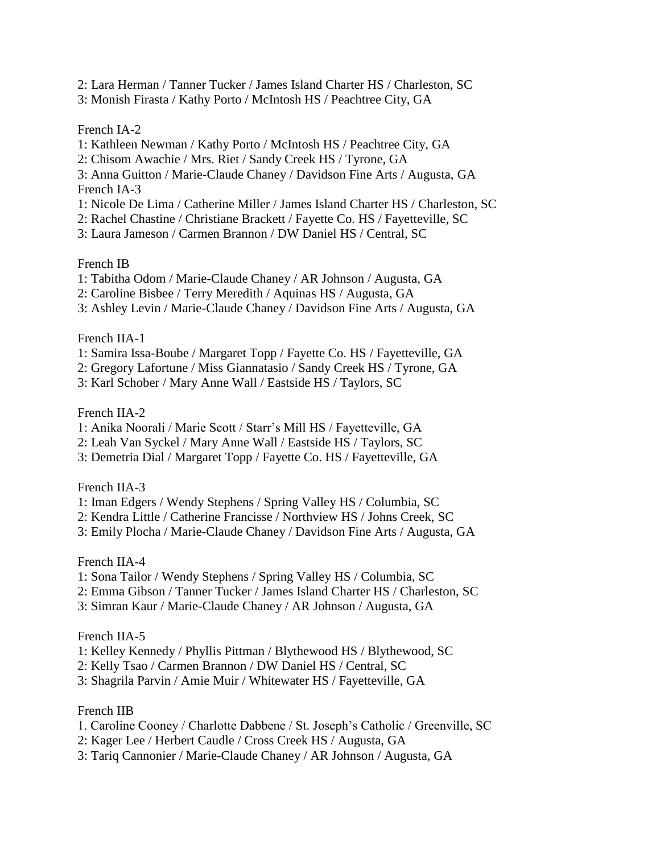- 2: Lara Herman / Tanner Tucker / James Island Charter HS / Charleston, SC
- 3: Monish Firasta / Kathy Porto / McIntosh HS / Peachtree City, GA

French IA-2

- 1: Kathleen Newman / Kathy Porto / McIntosh HS / Peachtree City, GA
- 2: Chisom Awachie / Mrs. Riet / Sandy Creek HS / Tyrone, GA
- 3: Anna Guitton / Marie-Claude Chaney / Davidson Fine Arts / Augusta, GA French IA-3
- 1: Nicole De Lima / Catherine Miller / James Island Charter HS / Charleston, SC
- 2: Rachel Chastine / Christiane Brackett / Fayette Co. HS / Fayetteville, SC
- 3: Laura Jameson / Carmen Brannon / DW Daniel HS / Central, SC

French IB

- 1: Tabitha Odom / Marie-Claude Chaney / AR Johnson / Augusta, GA
- 2: Caroline Bisbee / Terry Meredith / Aquinas HS / Augusta, GA
- 3: Ashley Levin / Marie-Claude Chaney / Davidson Fine Arts / Augusta, GA

French IIA-1

- 1: Samira Issa-Boube / Margaret Topp / Fayette Co. HS / Fayetteville, GA
- 2: Gregory Lafortune / Miss Giannatasio / Sandy Creek HS / Tyrone, GA
- 3: Karl Schober / Mary Anne Wall / Eastside HS / Taylors, SC

French IIA-2

- 1: Anika Noorali / Marie Scott / Starr's Mill HS / Fayetteville, GA
- 2: Leah Van Syckel / Mary Anne Wall / Eastside HS / Taylors, SC
- 3: Demetria Dial / Margaret Topp / Fayette Co. HS / Fayetteville, GA

French IIA-3

- 1: Iman Edgers / Wendy Stephens / Spring Valley HS / Columbia, SC
- 2: Kendra Little / Catherine Francisse / Northview HS / Johns Creek, SC
- 3: Emily Plocha / Marie-Claude Chaney / Davidson Fine Arts / Augusta, GA

French IIA-4

- 1: Sona Tailor / Wendy Stephens / Spring Valley HS / Columbia, SC
- 2: Emma Gibson / Tanner Tucker / James Island Charter HS / Charleston, SC
- 3: Simran Kaur / Marie-Claude Chaney / AR Johnson / Augusta, GA

## French IIA-5

- 1: Kelley Kennedy / Phyllis Pittman / Blythewood HS / Blythewood, SC
- 2: Kelly Tsao / Carmen Brannon / DW Daniel HS / Central, SC
- 3: Shagrila Parvin / Amie Muir / Whitewater HS / Fayetteville, GA

## French IIB

- 1. Caroline Cooney / Charlotte Dabbene / St. Joseph's Catholic / Greenville, SC
- 2: Kager Lee / Herbert Caudle / Cross Creek HS / Augusta, GA
- 3: Tariq Cannonier / Marie-Claude Chaney / AR Johnson / Augusta, GA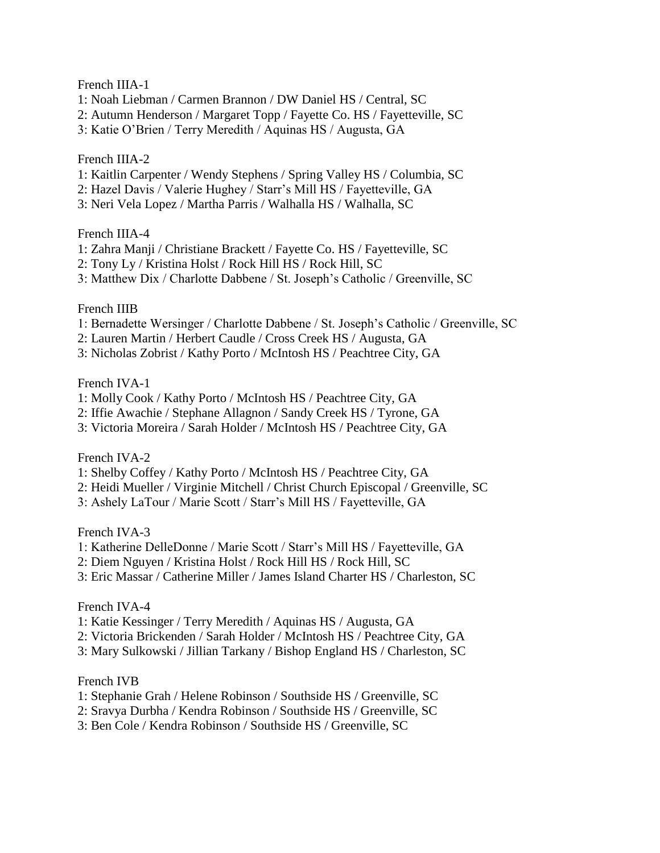#### French IIIA-1

- 1: Noah Liebman / Carmen Brannon / DW Daniel HS / Central, SC
- 2: Autumn Henderson / Margaret Topp / Fayette Co. HS / Fayetteville, SC
- 3: Katie O'Brien / Terry Meredith / Aquinas HS / Augusta, GA

## French IIIA-2

- 1: Kaitlin Carpenter / Wendy Stephens / Spring Valley HS / Columbia, SC
- 2: Hazel Davis / Valerie Hughey / Starr's Mill HS / Fayetteville, GA
- 3: Neri Vela Lopez / Martha Parris / Walhalla HS / Walhalla, SC

#### French IIIA-4

- 1: Zahra Manji / Christiane Brackett / Fayette Co. HS / Fayetteville, SC
- 2: Tony Ly / Kristina Holst / Rock Hill HS / Rock Hill, SC
- 3: Matthew Dix / Charlotte Dabbene / St. Joseph's Catholic / Greenville, SC

## French IIIB

- 1: Bernadette Wersinger / Charlotte Dabbene / St. Joseph's Catholic / Greenville, SC
- 2: Lauren Martin / Herbert Caudle / Cross Creek HS / Augusta, GA
- 3: Nicholas Zobrist / Kathy Porto / McIntosh HS / Peachtree City, GA

## French IVA-1

- 1: Molly Cook / Kathy Porto / McIntosh HS / Peachtree City, GA
- 2: Iffie Awachie / Stephane Allagnon / Sandy Creek HS / Tyrone, GA
- 3: Victoria Moreira / Sarah Holder / McIntosh HS / Peachtree City, GA

#### French IVA-2

- 1: Shelby Coffey / Kathy Porto / McIntosh HS / Peachtree City, GA
- 2: Heidi Mueller / Virginie Mitchell / Christ Church Episcopal / Greenville, SC
- 3: Ashely LaTour / Marie Scott / Starr's Mill HS / Fayetteville, GA

#### French IVA-3

- 1: Katherine DelleDonne / Marie Scott / Starr's Mill HS / Fayetteville, GA
- 2: Diem Nguyen / Kristina Holst / Rock Hill HS / Rock Hill, SC
- 3: Eric Massar / Catherine Miller / James Island Charter HS / Charleston, SC

#### French IVA-4

- 1: Katie Kessinger / Terry Meredith / Aquinas HS / Augusta, GA
- 2: Victoria Brickenden / Sarah Holder / McIntosh HS / Peachtree City, GA
- 3: Mary Sulkowski / Jillian Tarkany / Bishop England HS / Charleston, SC

#### French IVB

- 1: Stephanie Grah / Helene Robinson / Southside HS / Greenville, SC
- 2: Sravya Durbha / Kendra Robinson / Southside HS / Greenville, SC
- 3: Ben Cole / Kendra Robinson / Southside HS / Greenville, SC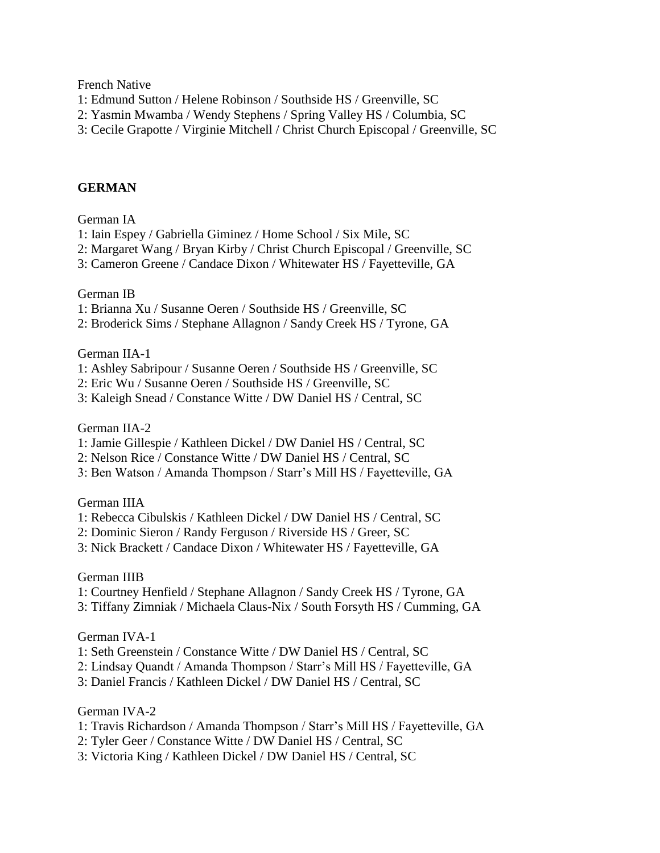French Native

- 1: Edmund Sutton / Helene Robinson / Southside HS / Greenville, SC
- 2: Yasmin Mwamba / Wendy Stephens / Spring Valley HS / Columbia, SC
- 3: Cecile Grapotte / Virginie Mitchell / Christ Church Episcopal / Greenville, SC

#### **GERMAN**

German IA

- 1: Iain Espey / Gabriella Giminez / Home School / Six Mile, SC
- 2: Margaret Wang / Bryan Kirby / Christ Church Episcopal / Greenville, SC
- 3: Cameron Greene / Candace Dixon / Whitewater HS / Fayetteville, GA

#### German IB

- 1: Brianna Xu / Susanne Oeren / Southside HS / Greenville, SC
- 2: Broderick Sims / Stephane Allagnon / Sandy Creek HS / Tyrone, GA

#### German IIA-1

- 1: Ashley Sabripour / Susanne Oeren / Southside HS / Greenville, SC
- 2: Eric Wu / Susanne Oeren / Southside HS / Greenville, SC
- 3: Kaleigh Snead / Constance Witte / DW Daniel HS / Central, SC

#### German IIA-2

- 1: Jamie Gillespie / Kathleen Dickel / DW Daniel HS / Central, SC
- 2: Nelson Rice / Constance Witte / DW Daniel HS / Central, SC
- 3: Ben Watson / Amanda Thompson / Starr's Mill HS / Fayetteville, GA

#### German IIIA

- 1: Rebecca Cibulskis / Kathleen Dickel / DW Daniel HS / Central, SC
- 2: Dominic Sieron / Randy Ferguson / Riverside HS / Greer, SC
- 3: Nick Brackett / Candace Dixon / Whitewater HS / Fayetteville, GA

#### German IIIB

- 1: Courtney Henfield / Stephane Allagnon / Sandy Creek HS / Tyrone, GA
- 3: Tiffany Zimniak / Michaela Claus-Nix / South Forsyth HS / Cumming, GA

#### German IVA-1

- 1: Seth Greenstein / Constance Witte / DW Daniel HS / Central, SC
- 2: Lindsay Quandt / Amanda Thompson / Starr's Mill HS / Fayetteville, GA
- 3: Daniel Francis / Kathleen Dickel / DW Daniel HS / Central, SC

#### German IVA-2

- 1: Travis Richardson / Amanda Thompson / Starr's Mill HS / Fayetteville, GA
- 2: Tyler Geer / Constance Witte / DW Daniel HS / Central, SC
- 3: Victoria King / Kathleen Dickel / DW Daniel HS / Central, SC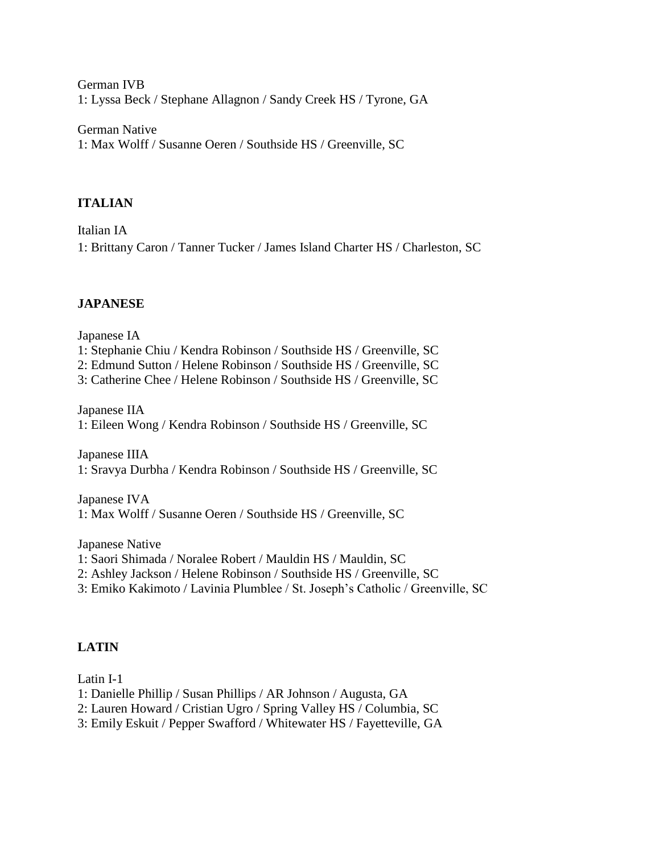German IVB 1: Lyssa Beck / Stephane Allagnon / Sandy Creek HS / Tyrone, GA

German Native 1: Max Wolff / Susanne Oeren / Southside HS / Greenville, SC

# **ITALIAN**

Italian IA 1: Brittany Caron / Tanner Tucker / James Island Charter HS / Charleston, SC

# **JAPANESE**

Japanese IA

1: Stephanie Chiu / Kendra Robinson / Southside HS / Greenville, SC

2: Edmund Sutton / Helene Robinson / Southside HS / Greenville, SC

3: Catherine Chee / Helene Robinson / Southside HS / Greenville, SC

Japanese IIA 1: Eileen Wong / Kendra Robinson / Southside HS / Greenville, SC

Japanese IIIA 1: Sravya Durbha / Kendra Robinson / Southside HS / Greenville, SC

Japanese IVA 1: Max Wolff / Susanne Oeren / Southside HS / Greenville, SC

Japanese Native

- 1: Saori Shimada / Noralee Robert / Mauldin HS / Mauldin, SC
- 2: Ashley Jackson / Helene Robinson / Southside HS / Greenville, SC
- 3: Emiko Kakimoto / Lavinia Plumblee / St. Joseph's Catholic / Greenville, SC

# **LATIN**

Latin I-1

- 1: Danielle Phillip / Susan Phillips / AR Johnson / Augusta, GA
- 2: Lauren Howard / Cristian Ugro / Spring Valley HS / Columbia, SC
- 3: Emily Eskuit / Pepper Swafford / Whitewater HS / Fayetteville, GA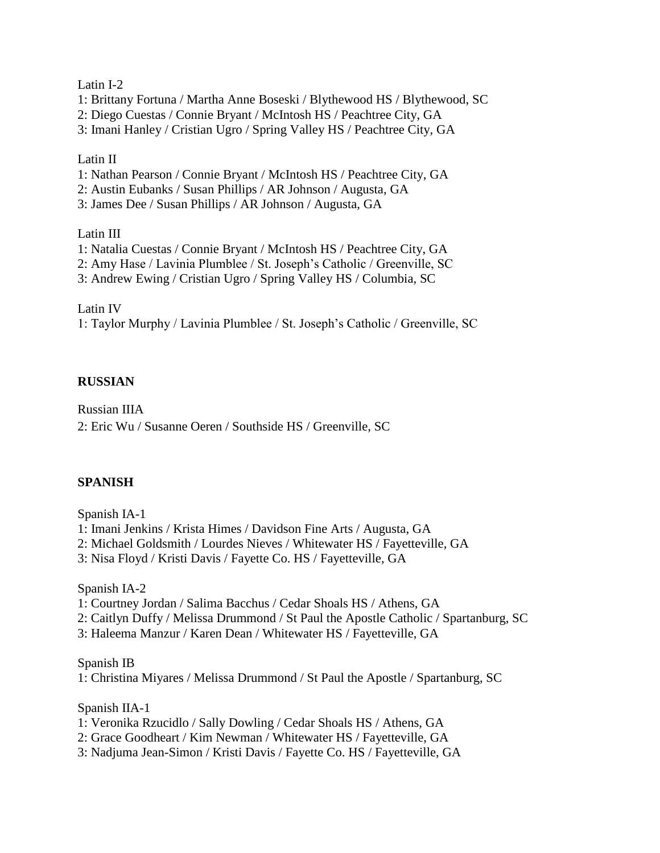#### Latin I-2

1: Brittany Fortuna / Martha Anne Boseski / Blythewood HS / Blythewood, SC

2: Diego Cuestas / Connie Bryant / McIntosh HS / Peachtree City, GA

3: Imani Hanley / Cristian Ugro / Spring Valley HS / Peachtree City, GA

#### Latin II

1: Nathan Pearson / Connie Bryant / McIntosh HS / Peachtree City, GA

2: Austin Eubanks / Susan Phillips / AR Johnson / Augusta, GA

3: James Dee / Susan Phillips / AR Johnson / Augusta, GA

Latin III

1: Natalia Cuestas / Connie Bryant / McIntosh HS / Peachtree City, GA

2: Amy Hase / Lavinia Plumblee / St. Joseph's Catholic / Greenville, SC

3: Andrew Ewing / Cristian Ugro / Spring Valley HS / Columbia, SC

Latin IV

1: Taylor Murphy / Lavinia Plumblee / St. Joseph's Catholic / Greenville, SC

## **RUSSIAN**

Russian IIIA 2: Eric Wu / Susanne Oeren / Southside HS / Greenville, SC

#### **SPANISH**

Spanish IA-1

- 1: Imani Jenkins / Krista Himes / Davidson Fine Arts / Augusta, GA
- 2: Michael Goldsmith / Lourdes Nieves / Whitewater HS / Fayetteville, GA
- 3: Nisa Floyd / Kristi Davis / Fayette Co. HS / Fayetteville, GA

Spanish IA-2

- 1: Courtney Jordan / Salima Bacchus / Cedar Shoals HS / Athens, GA
- 2: Caitlyn Duffy / Melissa Drummond / St Paul the Apostle Catholic / Spartanburg, SC
- 3: Haleema Manzur / Karen Dean / Whitewater HS / Fayetteville, GA

Spanish IB

1: Christina Miyares / Melissa Drummond / St Paul the Apostle / Spartanburg, SC

Spanish IIA-1

- 1: Veronika Rzucidlo / Sally Dowling / Cedar Shoals HS / Athens, GA
- 2: Grace Goodheart / Kim Newman / Whitewater HS / Fayetteville, GA
- 3: Nadjuma Jean-Simon / Kristi Davis / Fayette Co. HS / Fayetteville, GA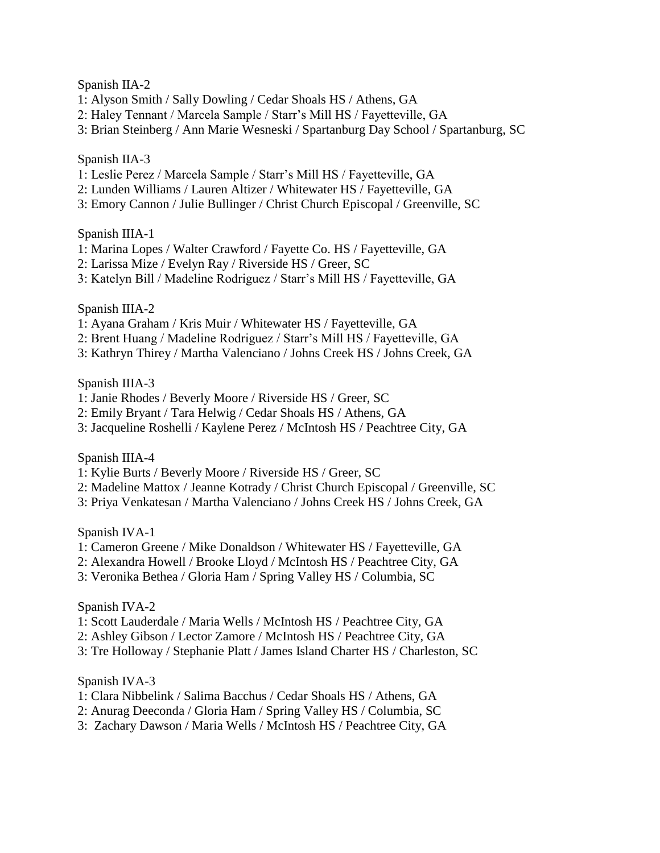#### Spanish IIA-2

- 1: Alyson Smith / Sally Dowling / Cedar Shoals HS / Athens, GA
- 2: Haley Tennant / Marcela Sample / Starr's Mill HS / Fayetteville, GA
- 3: Brian Steinberg / Ann Marie Wesneski / Spartanburg Day School / Spartanburg, SC

## Spanish IIA-3

- 1: Leslie Perez / Marcela Sample / Starr's Mill HS / Fayetteville, GA
- 2: Lunden Williams / Lauren Altizer / Whitewater HS / Fayetteville, GA
- 3: Emory Cannon / Julie Bullinger / Christ Church Episcopal / Greenville, SC

#### Spanish IIIA-1

- 1: Marina Lopes / Walter Crawford / Fayette Co. HS / Fayetteville, GA
- 2: Larissa Mize / Evelyn Ray / Riverside HS / Greer, SC
- 3: Katelyn Bill / Madeline Rodriguez / Starr's Mill HS / Fayetteville, GA

#### Spanish IIIA-2

- 1: Ayana Graham / Kris Muir / Whitewater HS / Fayetteville, GA
- 2: Brent Huang / Madeline Rodriguez / Starr's Mill HS / Fayetteville, GA
- 3: Kathryn Thirey / Martha Valenciano / Johns Creek HS / Johns Creek, GA

#### Spanish IIIA-3

- 1: Janie Rhodes / Beverly Moore / Riverside HS / Greer, SC
- 2: Emily Bryant / Tara Helwig / Cedar Shoals HS / Athens, GA
- 3: Jacqueline Roshelli / Kaylene Perez / McIntosh HS / Peachtree City, GA

#### Spanish IIIA-4

- 1: Kylie Burts / Beverly Moore / Riverside HS / Greer, SC
- 2: Madeline Mattox / Jeanne Kotrady / Christ Church Episcopal / Greenville, SC
- 3: Priya Venkatesan / Martha Valenciano / Johns Creek HS / Johns Creek, GA

#### Spanish IVA-1

- 1: Cameron Greene / Mike Donaldson / Whitewater HS / Fayetteville, GA
- 2: Alexandra Howell / Brooke Lloyd / McIntosh HS / Peachtree City, GA
- 3: Veronika Bethea / Gloria Ham / Spring Valley HS / Columbia, SC

#### Spanish IVA-2

- 1: Scott Lauderdale / Maria Wells / McIntosh HS / Peachtree City, GA
- 2: Ashley Gibson / Lector Zamore / McIntosh HS / Peachtree City, GA
- 3: Tre Holloway / Stephanie Platt / James Island Charter HS / Charleston, SC

#### Spanish IVA-3

- 1: Clara Nibbelink / Salima Bacchus / Cedar Shoals HS / Athens, GA
- 2: Anurag Deeconda / Gloria Ham / Spring Valley HS / Columbia, SC
- 3: Zachary Dawson / Maria Wells / McIntosh HS / Peachtree City, GA